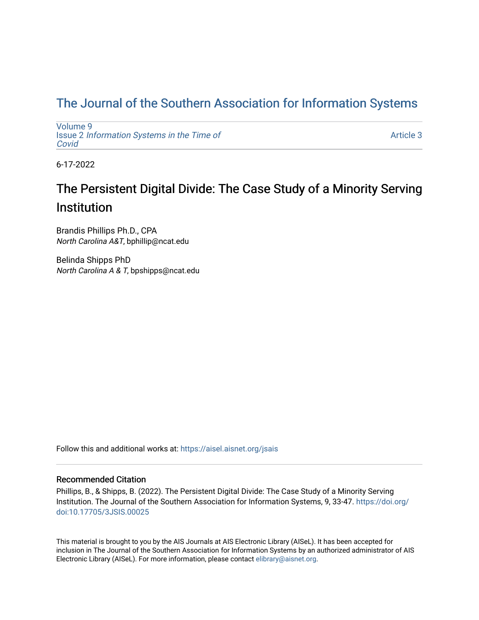# [The Journal of the Southern Association for Information Systems](https://aisel.aisnet.org/jsais)

[Volume 9](https://aisel.aisnet.org/jsais/vol9) Issue 2 [Information Systems in the Time of](https://aisel.aisnet.org/jsais/vol9/iss2)  [Covid](https://aisel.aisnet.org/jsais/vol9/iss2) 

[Article 3](https://aisel.aisnet.org/jsais/vol9/iss2/3) 

6-17-2022

# The Persistent Digital Divide: The Case Study of a Minority Serving **Institution**

Brandis Phillips Ph.D., CPA North Carolina A&T, bphillip@ncat.edu

Belinda Shipps PhD North Carolina A & T, bpshipps@ncat.edu

Follow this and additional works at: [https://aisel.aisnet.org/jsais](https://aisel.aisnet.org/jsais?utm_source=aisel.aisnet.org%2Fjsais%2Fvol9%2Fiss2%2F3&utm_medium=PDF&utm_campaign=PDFCoverPages) 

# Recommended Citation

Phillips, B., & Shipps, B. (2022). The Persistent Digital Divide: The Case Study of a Minority Serving Institution. The Journal of the Southern Association for Information Systems, 9, 33-47. [https://doi.org/](https://doi.org/doi:10.17705/3JSIS.00025) [doi:10.17705/3JSIS.00025](https://doi.org/doi:10.17705/3JSIS.00025) 

This material is brought to you by the AIS Journals at AIS Electronic Library (AISeL). It has been accepted for inclusion in The Journal of the Southern Association for Information Systems by an authorized administrator of AIS Electronic Library (AISeL). For more information, please contact [elibrary@aisnet.org.](mailto:elibrary@aisnet.org%3E)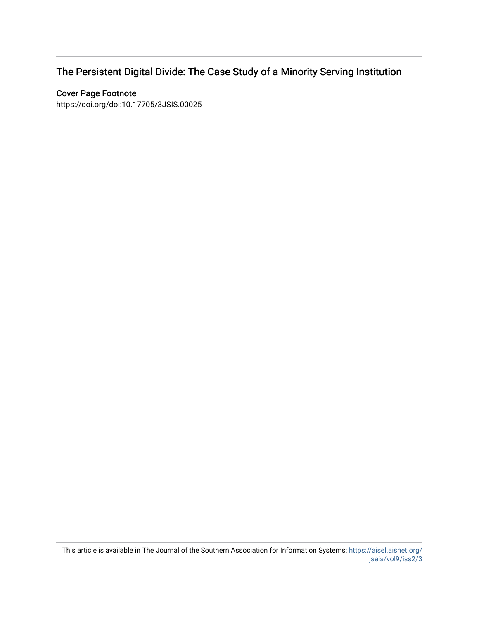# The Persistent Digital Divide: The Case Study of a Minority Serving Institution

# Cover Page Footnote

https://doi.org/doi:10.17705/3JSIS.00025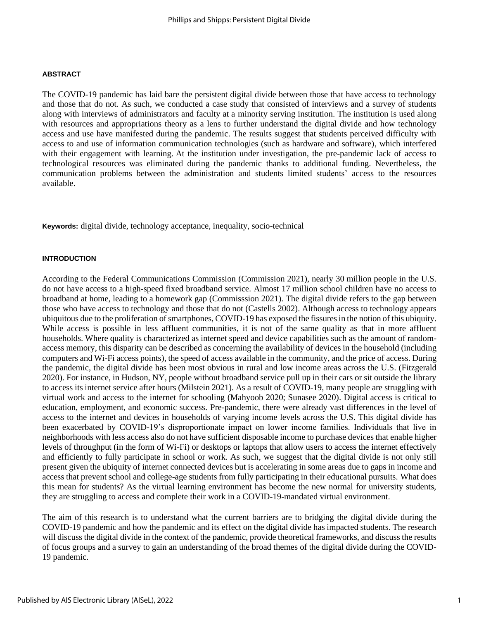#### **ABSTRACT**

The COVID-19 pandemic has laid bare the persistent digital divide between those that have access to technology and those that do not. As such, we conducted a case study that consisted of interviews and a survey of students along with interviews of administrators and faculty at a minority serving institution. The institution is used along with resources and appropriations theory as a lens to further understand the digital divide and how technology access and use have manifested during the pandemic. The results suggest that students perceived difficulty with access to and use of information communication technologies (such as hardware and software), which interfered with their engagement with learning. At the institution under investigation, the pre-pandemic lack of access to technological resources was eliminated during the pandemic thanks to additional funding. Nevertheless, the communication problems between the administration and students limited students' access to the resources available.

**Keywords:** digital divide, technology acceptance, inequality, socio-technical

#### **INTRODUCTION**

According to the Federal Communications Commission (Commission 2021), nearly 30 million people in the U.S. do not have access to a high-speed fixed broadband service. Almost 17 million school children have no access to broadband at home, leading to a homework gap (Commisssion 2021). The digital divide refers to the gap between those who have access to technology and those that do not (Castells 2002). Although access to technology appears ubiquitous due to the proliferation of smartphones, COVID-19 has exposed the fissures in the notion of this ubiquity. While access is possible in less affluent communities, it is not of the same quality as that in more affluent households. Where quality is characterized as internet speed and device capabilities such as the amount of randomaccess memory, this disparity can be described as concerning the availability of devices in the household (including computers and Wi-Fi access points), the speed of access available in the community, and the price of access. During the pandemic, the digital divide has been most obvious in rural and low income areas across the U.S. (Fitzgerald 2020). For instance, in Hudson, NY, people without broadband service pull up in their cars or sit outside the library to access its internet service after hours (Milstein 2021). As a result of COVID-19, many people are struggling with virtual work and access to the internet for schooling (Mahyoob 2020; Sunasee 2020). Digital access is critical to education, employment, and economic success. Pre-pandemic, there were already vast differences in the level of access to the internet and devices in households of varying income levels across the U.S. This digital divide has been exacerbated by COVID-19's disproportionate impact on lower income families. Individuals that live in neighborhoods with less access also do not have sufficient disposable income to purchase devices that enable higher levels of throughput (in the form of Wi-Fi) or desktops or laptops that allow users to access the internet effectively and efficiently to fully participate in school or work. As such, we suggest that the digital divide is not only still present given the ubiquity of internet connected devices but is accelerating in some areas due to gaps in income and access that prevent school and college-age students from fully participating in their educational pursuits. What does this mean for students? As the virtual learning environment has become the new normal for university students, they are struggling to access and complete their work in a COVID-19-mandated virtual environment.

The aim of this research is to understand what the current barriers are to bridging the digital divide during the COVID-19 pandemic and how the pandemic and its effect on the digital divide has impacted students. The research will discuss the digital divide in the context of the pandemic, provide theoretical frameworks, and discuss the results of focus groups and a survey to gain an understanding of the broad themes of the digital divide during the COVID-19 pandemic.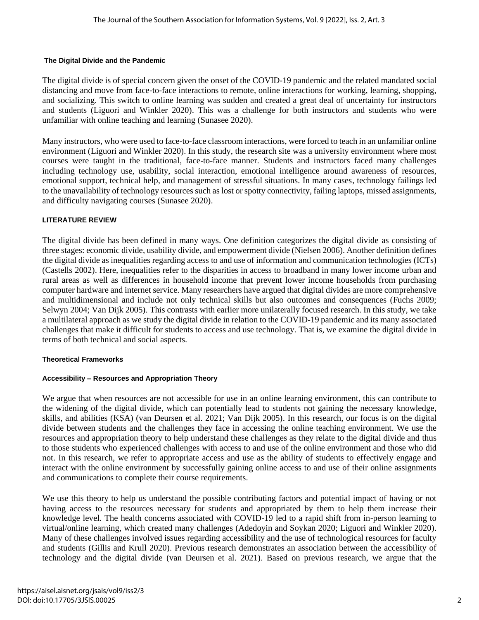#### **The Digital Divide and the Pandemic**

The digital divide is of special concern given the onset of the COVID-19 pandemic and the related mandated social distancing and move from face-to-face interactions to remote, online interactions for working, learning, shopping, and socializing. This switch to online learning was sudden and created a great deal of uncertainty for instructors and students (Liguori and Winkler 2020). This was a challenge for both instructors and students who were unfamiliar with online teaching and learning (Sunasee 2020).

Many instructors, who were used to face-to-face classroom interactions, were forced to teach in an unfamiliar online environment (Liguori and Winkler 2020). In this study, the research site was a university environment where most courses were taught in the traditional, face-to-face manner. Students and instructors faced many challenges including technology use, usability, social interaction, emotional intelligence around awareness of resources, emotional support, technical help, and management of stressful situations. In many cases, technology failings led to the unavailability of technology resources such as lost or spotty connectivity, failing laptops, missed assignments, and difficulty navigating courses (Sunasee 2020).

#### **LITERATURE REVIEW**

The digital divide has been defined in many ways. One definition categorizes the digital divide as consisting of three stages: economic divide, usability divide, and empowerment divide (Nielsen 2006). Another definition defines the digital divide as inequalities regarding access to and use of information and communication technologies (ICTs) (Castells 2002). Here, inequalities refer to the disparities in access to broadband in many lower income urban and rural areas as well as differences in household income that prevent lower income households from purchasing computer hardware and internet service. Many researchers have argued that digital divides are more comprehensive and multidimensional and include not only technical skills but also outcomes and consequences (Fuchs 2009; Selwyn 2004; Van Dijk 2005). This contrasts with earlier more unilaterally focused research. In this study, we take a multilateral approach as we study the digital divide in relation to the COVID-19 pandemic and its many associated challenges that make it difficult for students to access and use technology. That is, we examine the digital divide in terms of both technical and social aspects.

#### **Theoretical Frameworks**

#### **Accessibility – Resources and Appropriation Theory**

We argue that when resources are not accessible for use in an online learning environment, this can contribute to the widening of the digital divide, which can potentially lead to students not gaining the necessary knowledge, skills, and abilities (KSA) (van Deursen et al. 2021; Van Dijk 2005). In this research, our focus is on the digital divide between students and the challenges they face in accessing the online teaching environment. We use the resources and appropriation theory to help understand these challenges as they relate to the digital divide and thus to those students who experienced challenges with access to and use of the online environment and those who did not. In this research, we refer to appropriate access and use as the ability of students to effectively engage and interact with the online environment by successfully gaining online access to and use of their online assignments and communications to complete their course requirements.

We use this theory to help us understand the possible contributing factors and potential impact of having or not having access to the resources necessary for students and appropriated by them to help them increase their knowledge level. The health concerns associated with COVID-19 led to a rapid shift from in-person learning to virtual/online learning, which created many challenges (Adedoyin and Soykan 2020; Liguori and Winkler 2020). Many of these challenges involved issues regarding accessibility and the use of technological resources for faculty and students (Gillis and Krull 2020). Previous research demonstrates an association between the accessibility of technology and the digital divide (van Deursen et al. 2021). Based on previous research, we argue that the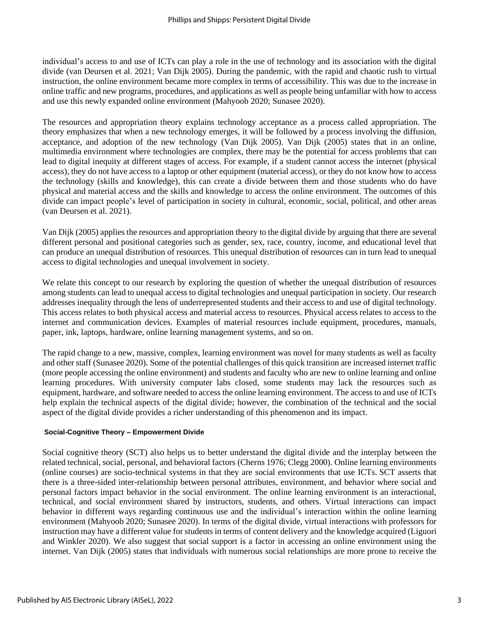individual's access to and use of ICTs can play a role in the use of technology and its association with the digital divide (van Deursen et al. 2021; Van Dijk 2005). During the pandemic, with the rapid and chaotic rush to virtual instruction, the online environment became more complex in terms of accessibility. This was due to the increase in online traffic and new programs, procedures, and applications as well as people being unfamiliar with how to access and use this newly expanded online environment (Mahyoob 2020; Sunasee 2020).

The resources and appropriation theory explains technology acceptance as a process called appropriation. The theory emphasizes that when a new technology emerges, it will be followed by a process involving the diffusion, acceptance, and adoption of the new technology (Van Dijk 2005). Van Dijk (2005) states that in an online, multimedia environment where technologies are complex, there may be the potential for access problems that can lead to digital inequity at different stages of access. For example, if a student cannot access the internet (physical access), they do not have access to a laptop or other equipment (material access), or they do not know how to access the technology (skills and knowledge), this can create a divide between them and those students who do have physical and material access and the skills and knowledge to access the online environment. The outcomes of this divide can impact people's level of participation in society in cultural, economic, social, political, and other areas (van Deursen et al. 2021).

Van Dijk (2005) applies the resources and appropriation theory to the digital divide by arguing that there are several different personal and positional categories such as gender, sex, race, country, income, and educational level that can produce an unequal distribution of resources. This unequal distribution of resources can in turn lead to unequal access to digital technologies and unequal involvement in society.

We relate this concept to our research by exploring the question of whether the unequal distribution of resources among students can lead to unequal access to digital technologies and unequal participation in society. Our research addresses inequality through the lens of underrepresented students and their access to and use of digital technology. This access relates to both physical access and material access to resources. Physical access relates to access to the internet and communication devices. Examples of material resources include equipment, procedures, manuals, paper, ink, laptops, hardware, online learning management systems, and so on.

The rapid change to a new, massive, complex, learning environment was novel for many students as well as faculty and other staff (Sunasee 2020). Some of the potential challenges of this quick transition are increased internet traffic (more people accessing the online environment) and students and faculty who are new to online learning and online learning procedures. With university computer labs closed, some students may lack the resources such as equipment, hardware, and software needed to access the online learning environment. The access to and use of ICTs help explain the technical aspects of the digital divide; however, the combination of the technical and the social aspect of the digital divide provides a richer understanding of this phenomenon and its impact.

#### **Social-Cognitive Theory – Empowerment Divide**

Social cognitive theory (SCT) also helps us to better understand the digital divide and the interplay between the related technical, social, personal, and behavioral factors (Cherns 1976; Clegg 2000). Online learning environments (online courses) are socio-technical systems in that they are social environments that use ICTs. SCT asserts that there is a three-sided inter-relationship between personal attributes, environment, and behavior where social and personal factors impact behavior in the social environment. The online learning environment is an interactional, technical, and social environment shared by instructors, students, and others. Virtual interactions can impact behavior in different ways regarding continuous use and the individual's interaction within the online learning environment (Mahyoob 2020; Sunasee 2020). In terms of the digital divide, virtual interactions with professors for instruction may have a different value for students in terms of content delivery and the knowledge acquired (Liguori and Winkler 2020). We also suggest that social support is a factor in accessing an online environment using the internet. Van Dijk (2005) states that individuals with numerous social relationships are more prone to receive the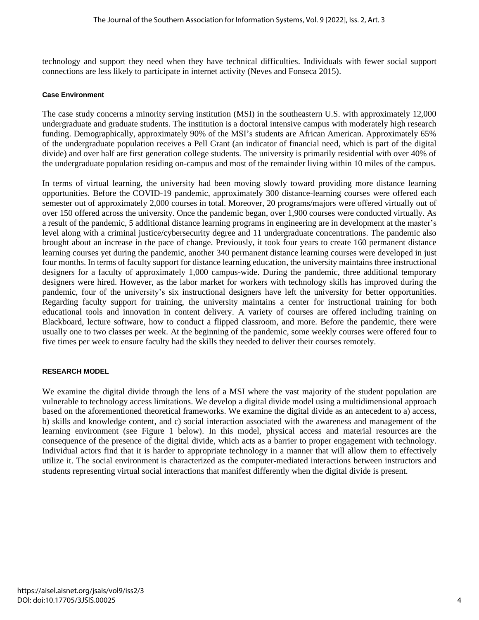technology and support they need when they have technical difficulties. Individuals with fewer social support connections are less likely to participate in internet activity (Neves and Fonseca 2015).

#### **Case Environment**

The case study concerns a minority serving institution (MSI) in the southeastern U.S. with approximately 12,000 undergraduate and graduate students. The institution is a doctoral intensive campus with moderately high research funding. Demographically, approximately 90% of the MSI's students are African American. Approximately 65% of the undergraduate population receives a Pell Grant (an indicator of financial need, which is part of the digital divide) and over half are first generation college students. The university is primarily residential with over 40% of the undergraduate population residing on-campus and most of the remainder living within 10 miles of the campus.

In terms of virtual learning, the university had been moving slowly toward providing more distance learning opportunities. Before the COVID-19 pandemic, approximately 300 distance-learning courses were offered each semester out of approximately 2,000 courses in total. Moreover, 20 programs/majors were offered virtually out of over 150 offered across the university. Once the pandemic began, over 1,900 courses were conducted virtually. As a result of the pandemic, 5 additional distance learning programs in engineering are in development at the master's level along with a criminal justice/cybersecurity degree and 11 undergraduate concentrations. The pandemic also brought about an increase in the pace of change. Previously, it took four years to create 160 permanent distance learning courses yet during the pandemic, another 340 permanent distance learning courses were developed in just four months. In terms of faculty support for distance learning education, the university maintains three instructional designers for a faculty of approximately 1,000 campus-wide. During the pandemic, three additional temporary designers were hired. However, as the labor market for workers with technology skills has improved during the pandemic, four of the university's six instructional designers have left the university for better opportunities. Regarding faculty support for training, the university maintains a center for instructional training for both educational tools and innovation in content delivery. A variety of courses are offered including training on Blackboard, lecture software, how to conduct a flipped classroom, and more. Before the pandemic, there were usually one to two classes per week. At the beginning of the pandemic, some weekly courses were offered four to five times per week to ensure faculty had the skills they needed to deliver their courses remotely.

#### **RESEARCH MODEL**

We examine the digital divide through the lens of a MSI where the vast majority of the student population are vulnerable to technology access limitations. We develop a digital divide model using a multidimensional approach based on the aforementioned theoretical frameworks. We examine the digital divide as an antecedent to a) access, b) skills and knowledge content, and c) social interaction associated with the awareness and management of the learning environment (see Figure 1 below). In this model, physical access and material resources are the consequence of the presence of the digital divide, which acts as a barrier to proper engagement with technology. Individual actors find that it is harder to appropriate technology in a manner that will allow them to effectively utilize it. The social environment is characterized as the computer-mediated interactions between instructors and students representing virtual social interactions that manifest differently when the digital divide is present.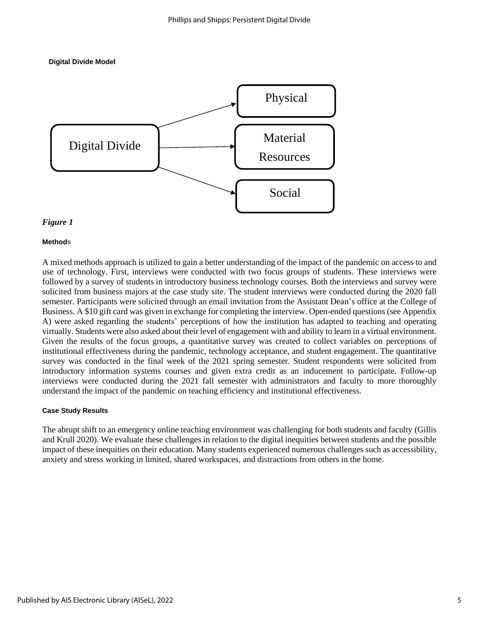



#### *Figure 1*

#### **Method**s

A mixed methods approach is utilized to gain a better understanding of the impact of the pandemic on access to and use of technology. First, interviews were conducted with two focus groups of students. These interviews were followed by a survey of students in introductory business technology courses. Both the interviews and survey were solicited from business majors at the case study site. The student interviews were conducted during the 2020 fall semester. Participants were solicited through an email invitation from the Assistant Dean's office at the College of Business. A \$10 gift card was given in exchange for completing the interview. Open-ended questions (see Appendix A) were asked regarding the students' perceptions of how the institution has adapted to teaching and operating virtually. Students were also asked about their level of engagement with and ability to learn in a virtual environment. Given the results of the focus groups, a quantitative survey was created to collect variables on perceptions of institutional effectiveness during the pandemic, technology acceptance, and student engagement. The quantitative survey was conducted in the final week of the 2021 spring semester. Student respondents were solicited from introductory information systems courses and given extra credit as an inducement to participate. Follow-up interviews were conducted during the 2021 fall semester with administrators and faculty to more thoroughly understand the impact of the pandemic on teaching efficiency and institutional effectiveness.

#### **Case Study Results**

The abrupt shift to an emergency online teaching environment was challenging for both students and faculty (Gillis and Krull 2020). We evaluate these challenges in relation to the digital inequities between students and the possible impact of these inequities on their education. Many students experienced numerous challenges such as accessibility, anxiety and stress working in limited, shared workspaces, and distractions from others in the home.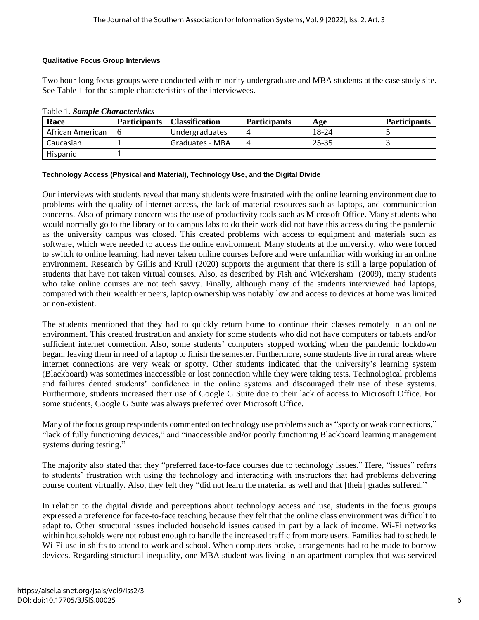### **Qualitative Focus Group Interviews**

Two hour-long focus groups were conducted with minority undergraduate and MBA students at the case study site. See Table 1 for the sample characteristics of the interviewees.

| Race             |     | <b>Participants</b>   Classification | <b>Participants</b> | Age   | <b>Participants</b> |
|------------------|-----|--------------------------------------|---------------------|-------|---------------------|
| African American | _ ი | Undergraduates                       |                     | 18-24 |                     |
| Caucasian        |     | Graduates - MBA                      |                     | 25-35 |                     |
| Hispanic         |     |                                      |                     |       |                     |

Table 1. *Sample Characteristics*

#### **Technology Access (Physical and Material), Technology Use, and the Digital Divide**

Our interviews with students reveal that many students were frustrated with the online learning environment due to problems with the quality of internet access, the lack of material resources such as laptops, and communication concerns. Also of primary concern was the use of productivity tools such as Microsoft Office. Many students who would normally go to the library or to campus labs to do their work did not have this access during the pandemic as the university campus was closed. This created problems with access to equipment and materials such as software, which were needed to access the online environment. Many students at the university, who were forced to switch to online learning, had never taken online courses before and were unfamiliar with working in an online environment. Research by Gillis and Krull (2020) supports the argument that there is still a large population of students that have not taken virtual courses. Also, as described by Fish and Wickersham (2009), many students who take online courses are not tech savvy. Finally, although many of the students interviewed had laptops, compared with their wealthier peers, laptop ownership was notably low and access to devices at home was limited or non-existent.

The students mentioned that they had to quickly return home to continue their classes remotely in an online environment. This created frustration and anxiety for some students who did not have computers or tablets and/or sufficient internet connection. Also, some students' computers stopped working when the pandemic lockdown began, leaving them in need of a laptop to finish the semester. Furthermore, some students live in rural areas where internet connections are very weak or spotty. Other students indicated that the university's learning system (Blackboard) was sometimes inaccessible or lost connection while they were taking tests. Technological problems and failures dented students' confidence in the online systems and discouraged their use of these systems. Furthermore, students increased their use of Google G Suite due to their lack of access to Microsoft Office. For some students, Google G Suite was always preferred over Microsoft Office.

Many of the focus group respondents commented on technology use problems such as "spotty or weak connections," "lack of fully functioning devices," and "inaccessible and/or poorly functioning Blackboard learning management systems during testing."

The majority also stated that they "preferred face-to-face courses due to technology issues." Here, "issues" refers to students' frustration with using the technology and interacting with instructors that had problems delivering course content virtually. Also, they felt they "did not learn the material as well and that [their] grades suffered."

In relation to the digital divide and perceptions about technology access and use, students in the focus groups expressed a preference for face-to-face teaching because they felt that the online class environment was difficult to adapt to. Other structural issues included household issues caused in part by a lack of income. Wi-Fi networks within households were not robust enough to handle the increased traffic from more users. Families had to schedule Wi-Fi use in shifts to attend to work and school. When computers broke, arrangements had to be made to borrow devices. Regarding structural inequality, one MBA student was living in an apartment complex that was serviced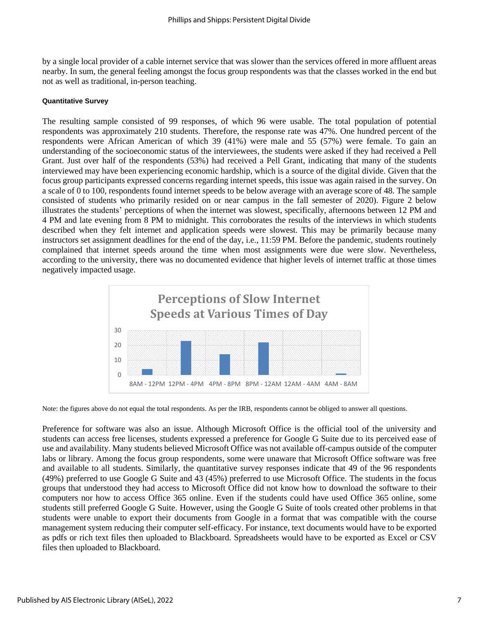by a single local provider of a cable internet service that was slower than the services offered in more affluent areas nearby. In sum, the general feeling amongst the focus group respondents was that the classes worked in the end but not as well as traditional, in-person teaching.

#### **Quantitative Survey**

The resulting sample consisted of 99 responses, of which 96 were usable. The total population of potential respondents was approximately 210 students. Therefore, the response rate was 47%. One hundred percent of the respondents were African American of which 39 (41%) were male and 55 (57%) were female. To gain an understanding of the socioeconomic status of the interviewees, the students were asked if they had received a Pell Grant. Just over half of the respondents (53%) had received a Pell Grant, indicating that many of the students interviewed may have been experiencing economic hardship, which is a source of the digital divide. Given that the focus group participants expressed concerns regarding internet speeds, this issue was again raised in the survey. On a scale of 0 to 100, respondents found internet speeds to be below average with an average score of 48. The sample consisted of students who primarily resided on or near campus in the fall semester of 2020). Figure 2 below illustrates the students' perceptions of when the internet was slowest, specifically, afternoons between 12 PM and 4 PM and late evening from 8 PM to midnight. This corroborates the results of the interviews in which students described when they felt internet and application speeds were slowest. This may be primarily because many instructors set assignment deadlines for the end of the day, i.e., 11:59 PM. Before the pandemic, students routinely complained that internet speeds around the time when most assignments were due were slow. Nevertheless, according to the university, there was no documented evidence that higher levels of internet traffic at those times negatively impacted usage.



Note: the figures above do not equal the total respondents. As per the IRB, respondents cannot be obliged to answer all questions.

Preference for software was also an issue. Although Microsoft Office is the official tool of the university and students can access free licenses, students expressed a preference for Google G Suite due to its perceived ease of use and availability. Many students believed Microsoft Office was not available off-campus outside of the computer labs or library. Among the focus group respondents, some were unaware that Microsoft Office software was free and available to all students. Similarly, the quantitative survey responses indicate that 49 of the 96 respondents (49%) preferred to use Google G Suite and 43 (45%) preferred to use Microsoft Office. The students in the focus groups that understood they had access to Microsoft Office did not know how to download the software to their computers nor how to access Office 365 online. Even if the students could have used Office 365 online, some students still preferred Google G Suite. However, using the Google G Suite of tools created other problems in that students were unable to export their documents from Google in a format that was compatible with the course management system reducing their computer self-efficacy. For instance, text documents would have to be exported as pdfs or rich text files then uploaded to Blackboard. Spreadsheets would have to be exported as Excel or CSV files then uploaded to Blackboard.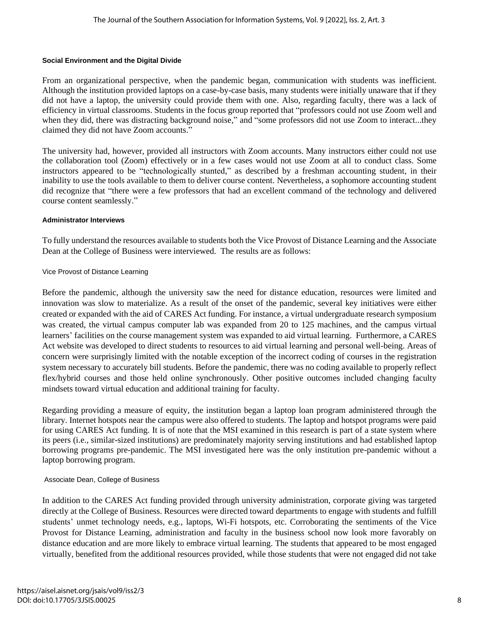#### **Social Environment and the Digital Divide**

From an organizational perspective, when the pandemic began, communication with students was inefficient. Although the institution provided laptops on a case-by-case basis, many students were initially unaware that if they did not have a laptop, the university could provide them with one. Also, regarding faculty, there was a lack of efficiency in virtual classrooms. Students in the focus group reported that "professors could not use Zoom well and when they did, there was distracting background noise," and "some professors did not use Zoom to interact...they claimed they did not have Zoom accounts."

The university had, however, provided all instructors with Zoom accounts. Many instructors either could not use the collaboration tool (Zoom) effectively or in a few cases would not use Zoom at all to conduct class. Some instructors appeared to be "technologically stunted," as described by a freshman accounting student, in their inability to use the tools available to them to deliver course content. Nevertheless, a sophomore accounting student did recognize that "there were a few professors that had an excellent command of the technology and delivered course content seamlessly."

#### **Administrator Interviews**

To fully understand the resources available to students both the Vice Provost of Distance Learning and the Associate Dean at the College of Business were interviewed. The results are as follows:

#### Vice Provost of Distance Learning

Before the pandemic, although the university saw the need for distance education, resources were limited and innovation was slow to materialize. As a result of the onset of the pandemic, several key initiatives were either created or expanded with the aid of CARES Act funding. For instance, a virtual undergraduate research symposium was created, the virtual campus computer lab was expanded from 20 to 125 machines, and the campus virtual learners' facilities on the course management system was expanded to aid virtual learning. Furthermore, a CARES Act website was developed to direct students to resources to aid virtual learning and personal well-being. Areas of concern were surprisingly limited with the notable exception of the incorrect coding of courses in the registration system necessary to accurately bill students. Before the pandemic, there was no coding available to properly reflect flex/hybrid courses and those held online synchronously. Other positive outcomes included changing faculty mindsets toward virtual education and additional training for faculty.

Regarding providing a measure of equity, the institution began a laptop loan program administered through the library. Internet hotspots near the campus were also offered to students. The laptop and hotspot programs were paid for using CARES Act funding. It is of note that the MSI examined in this research is part of a state system where its peers (i.e., similar-sized institutions) are predominately majority serving institutions and had established laptop borrowing programs pre-pandemic. The MSI investigated here was the only institution pre-pandemic without a laptop borrowing program.

#### Associate Dean, College of Business

In addition to the CARES Act funding provided through university administration, corporate giving was targeted directly at the College of Business. Resources were directed toward departments to engage with students and fulfill students' unmet technology needs, e.g., laptops, Wi-Fi hotspots, etc. Corroborating the sentiments of the Vice Provost for Distance Learning, administration and faculty in the business school now look more favorably on distance education and are more likely to embrace virtual learning. The students that appeared to be most engaged virtually, benefited from the additional resources provided, while those students that were not engaged did not take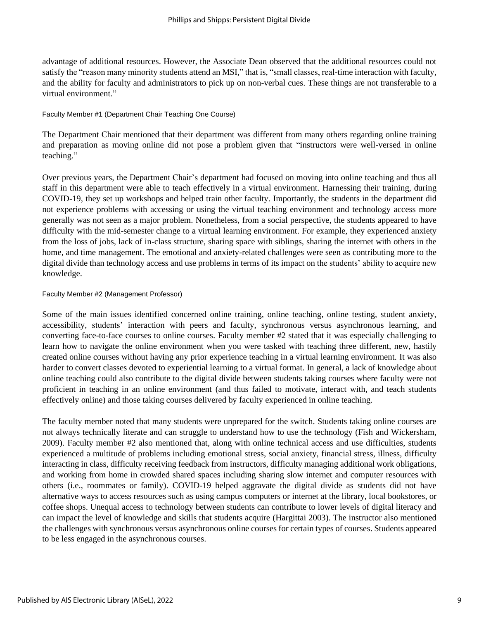advantage of additional resources. However, the Associate Dean observed that the additional resources could not satisfy the "reason many minority students attend an MSI," that is, "small classes, real-time interaction with faculty, and the ability for faculty and administrators to pick up on non-verbal cues. These things are not transferable to a virtual environment."

#### Faculty Member #1 (Department Chair Teaching One Course)

The Department Chair mentioned that their department was different from many others regarding online training and preparation as moving online did not pose a problem given that "instructors were well-versed in online teaching."

Over previous years, the Department Chair's department had focused on moving into online teaching and thus all staff in this department were able to teach effectively in a virtual environment. Harnessing their training, during COVID-19, they set up workshops and helped train other faculty. Importantly, the students in the department did not experience problems with accessing or using the virtual teaching environment and technology access more generally was not seen as a major problem. Nonetheless, from a social perspective, the students appeared to have difficulty with the mid-semester change to a virtual learning environment. For example, they experienced anxiety from the loss of jobs, lack of in-class structure, sharing space with siblings, sharing the internet with others in the home, and time management. The emotional and anxiety-related challenges were seen as contributing more to the digital divide than technology access and use problems in terms of its impact on the students' ability to acquire new knowledge.

#### Faculty Member #2 (Management Professor)

Some of the main issues identified concerned online training, online teaching, online testing, student anxiety, accessibility, students' interaction with peers and faculty, synchronous versus asynchronous learning, and converting face-to-face courses to online courses. Faculty member #2 stated that it was especially challenging to learn how to navigate the online environment when you were tasked with teaching three different, new, hastily created online courses without having any prior experience teaching in a virtual learning environment. It was also harder to convert classes devoted to experiential learning to a virtual format. In general, a lack of knowledge about online teaching could also contribute to the digital divide between students taking courses where faculty were not proficient in teaching in an online environment (and thus failed to motivate, interact with, and teach students effectively online) and those taking courses delivered by faculty experienced in online teaching.

The faculty member noted that many students were unprepared for the switch. Students taking online courses are not always technically literate and can struggle to understand how to use the technology (Fish and Wickersham, 2009). Faculty member #2 also mentioned that, along with online technical access and use difficulties, students experienced a multitude of problems including emotional stress, social anxiety, financial stress, illness, difficulty interacting in class, difficulty receiving feedback from instructors, difficulty managing additional work obligations, and working from home in crowded shared spaces including sharing slow internet and computer resources with others (i.e., roommates or family). COVID-19 helped aggravate the digital divide as students did not have alternative ways to access resources such as using campus computers or internet at the library, local bookstores, or coffee shops. Unequal access to technology between students can contribute to lower levels of digital literacy and can impact the level of knowledge and skills that students acquire (Hargittai 2003). The instructor also mentioned the challenges with synchronous versus asynchronous online courses for certain types of courses. Students appeared to be less engaged in the asynchronous courses.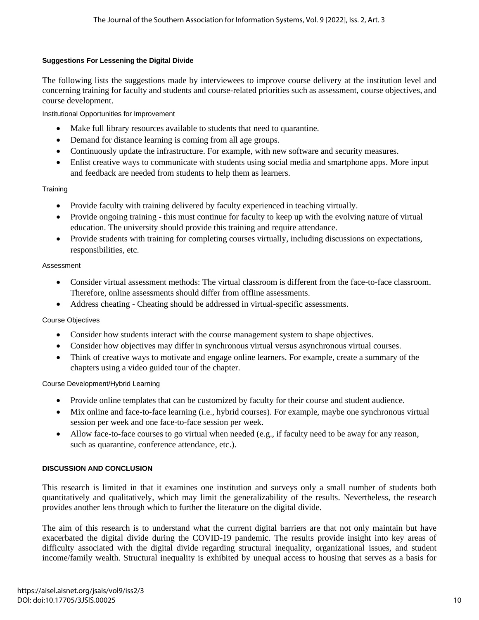# **Suggestions For Lessening the Digital Divide**

The following lists the suggestions made by interviewees to improve course delivery at the institution level and concerning training for faculty and students and course-related priorities such as assessment, course objectives, and course development.

Institutional Opportunities for Improvement

- Make full library resources available to students that need to quarantine.
- Demand for distance learning is coming from all age groups.
- Continuously update the infrastructure. For example, with new software and security measures.
- Enlist creative ways to communicate with students using social media and smartphone apps. More input and feedback are needed from students to help them as learners.

# **Training**

- Provide faculty with training delivered by faculty experienced in teaching virtually.
- Provide ongoing training this must continue for faculty to keep up with the evolving nature of virtual education. The university should provide this training and require attendance.
- Provide students with training for completing courses virtually, including discussions on expectations, responsibilities, etc.

# Assessment

- Consider virtual assessment methods: The virtual classroom is different from the face-to-face classroom. Therefore, online assessments should differ from offline assessments.
- Address cheating Cheating should be addressed in virtual-specific assessments.

#### Course Objectives

- Consider how students interact with the course management system to shape objectives.
- Consider how objectives may differ in synchronous virtual versus asynchronous virtual courses.
- Think of creative ways to motivate and engage online learners. For example, create a summary of the chapters using a video guided tour of the chapter.

#### Course Development/Hybrid Learning

- Provide online templates that can be customized by faculty for their course and student audience.
- Mix online and face-to-face learning (i.e., hybrid courses). For example, maybe one synchronous virtual session per week and one face-to-face session per week.
- Allow face-to-face courses to go virtual when needed (e.g., if faculty need to be away for any reason, such as quarantine, conference attendance, etc.).

# **DISCUSSION AND CONCLUSION**

This research is limited in that it examines one institution and surveys only a small number of students both quantitatively and qualitatively, which may limit the generalizability of the results. Nevertheless, the research provides another lens through which to further the literature on the digital divide.

The aim of this research is to understand what the current digital barriers are that not only maintain but have exacerbated the digital divide during the COVID-19 pandemic. The results provide insight into key areas of difficulty associated with the digital divide regarding structural inequality, organizational issues, and student income/family wealth. Structural inequality is exhibited by unequal access to housing that serves as a basis for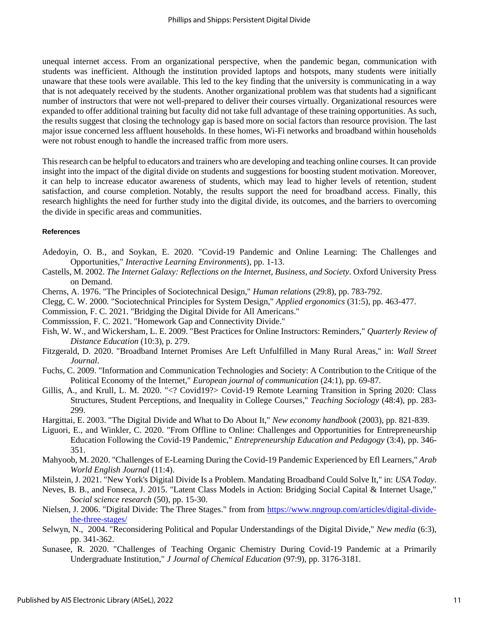unequal internet access. From an organizational perspective, when the pandemic began, communication with students was inefficient. Although the institution provided laptops and hotspots, many students were initially unaware that these tools were available. This led to the key finding that the university is communicating in a way that is not adequately received by the students. Another organizational problem was that students had a significant number of instructors that were not well-prepared to deliver their courses virtually. Organizational resources were expanded to offer additional training but faculty did not take full advantage of these training opportunities. As such, the results suggest that closing the technology gap is based more on social factors than resource provision. The last major issue concerned less affluent households. In these homes, Wi-Fi networks and broadband within households were not robust enough to handle the increased traffic from more users.

This research can be helpful to educators and trainers who are developing and teaching online courses. It can provide insight into the impact of the digital divide on students and suggestions for boosting student motivation. Moreover, it can help to increase educator awareness of students, which may lead to higher levels of retention, student satisfaction, and course completion. Notably, the results support the need for broadband access. Finally, this research highlights the need for further study into the digital divide, its outcomes, and the barriers to overcoming the divide in specific areas and communities.

#### **References**

- Adedoyin, O. B., and Soykan, E. 2020. "Covid-19 Pandemic and Online Learning: The Challenges and Opportunities," *Interactive Learning Environments*), pp. 1-13.
- Castells, M. 2002. *The Internet Galaxy: Reflections on the Internet, Business, and Society*. Oxford University Press on Demand.
- Cherns, A. 1976. "The Principles of Sociotechnical Design," *Human relations* (29:8), pp. 783-792.
- Clegg, C. W. 2000. "Sociotechnical Principles for System Design," *Applied ergonomics* (31:5), pp. 463-477.
- Commission, F. C. 2021. "Bridging the Digital Divide for All Americans."
- Commisssion, F. C. 2021. "Homework Gap and Connectivity Divide."
- Fish, W. W., and Wickersham, L. E. 2009. "Best Practices for Online Instructors: Reminders," *Quarterly Review of Distance Education* (10:3), p. 279.
- Fitzgerald, D. 2020. "Broadband Internet Promises Are Left Unfulfilled in Many Rural Areas," in: *Wall Street Journal*.
- Fuchs, C. 2009. "Information and Communication Technologies and Society: A Contribution to the Critique of the Political Economy of the Internet," *European journal of communication* (24:1), pp. 69-87.
- Gillis, A., and Krull, L. M. 2020. "<? Covid19?> Covid-19 Remote Learning Transition in Spring 2020: Class Structures, Student Perceptions, and Inequality in College Courses," *Teaching Sociology* (48:4), pp. 283- 299.
- Hargittai, E. 2003. "The Digital Divide and What to Do About It," *New economy handbook* (2003), pp. 821-839.
- Liguori, E., and Winkler, C. 2020. "From Offline to Online: Challenges and Opportunities for Entrepreneurship Education Following the Covid-19 Pandemic," *Entrepreneurship Education and Pedagogy* (3:4), pp. 346- 351.
- Mahyoob, M. 2020. "Challenges of E-Learning During the Covid-19 Pandemic Experienced by Efl Learners," *Arab World English Journal* (11:4).
- Milstein, J. 2021. "New York's Digital Divide Is a Problem. Mandating Broadband Could Solve It," in: *USA Today*.
- Neves, B. B., and Fonseca, J. 2015. "Latent Class Models in Action: Bridging Social Capital & Internet Usage," *Social science research* (50), pp. 15-30.
- Nielsen, J. 2006. "Digital Divide: The Three Stages." from from [https://www.nngroup.com/articles/digital-divide](https://www.nngroup.com/articles/digital-divide-the-three-stages/)[the-three-stages/](https://www.nngroup.com/articles/digital-divide-the-three-stages/)
- Selwyn, N., 2004. "Reconsidering Political and Popular Understandings of the Digital Divide," *New media* (6:3), pp. 341-362.
- Sunasee, R. 2020. "Challenges of Teaching Organic Chemistry During Covid-19 Pandemic at a Primarily Undergraduate Institution," *J Journal of Chemical Education* (97:9), pp. 3176-3181.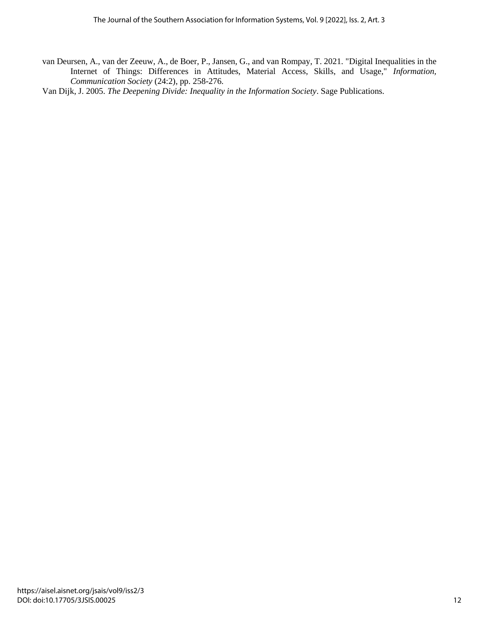- van Deursen, A., van der Zeeuw, A., de Boer, P., Jansen, G., and van Rompay, T. 2021. "Digital Inequalities in the Internet of Things: Differences in Attitudes, Material Access, Skills, and Usage," *Information, Communication Society* (24:2), pp. 258-276.
- Van Dijk, J. 2005. *The Deepening Divide: Inequality in the Information Society*. Sage Publications.